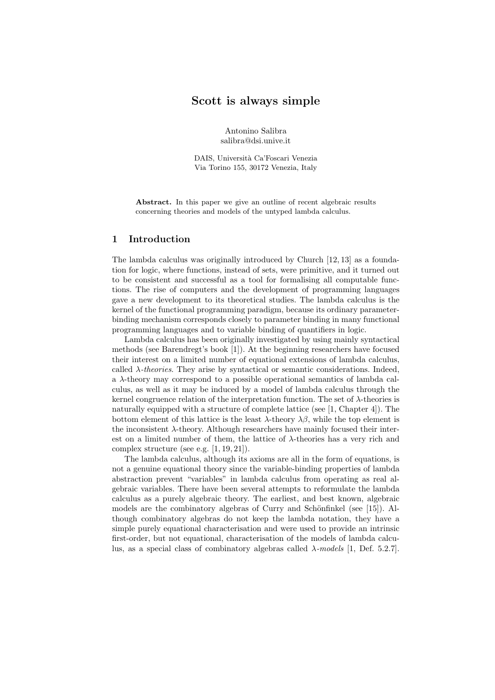# Scott is always simple

Antonino Salibra salibra@dsi.unive.it

DAIS, Università Ca'Foscari Venezia Via Torino 155, 30172 Venezia, Italy

Abstract. In this paper we give an outline of recent algebraic results concerning theories and models of the untyped lambda calculus.

## 1 Introduction

The lambda calculus was originally introduced by Church [12, 13] as a foundation for logic, where functions, instead of sets, were primitive, and it turned out to be consistent and successful as a tool for formalising all computable functions. The rise of computers and the development of programming languages gave a new development to its theoretical studies. The lambda calculus is the kernel of the functional programming paradigm, because its ordinary parameterbinding mechanism corresponds closely to parameter binding in many functional programming languages and to variable binding of quantifiers in logic.

Lambda calculus has been originally investigated by using mainly syntactical methods (see Barendregt's book [1]). At the beginning researchers have focused their interest on a limited number of equational extensions of lambda calculus, called  $\lambda$ -theories. They arise by syntactical or semantic considerations. Indeed, a λ-theory may correspond to a possible operational semantics of lambda calculus, as well as it may be induced by a model of lambda calculus through the kernel congruence relation of the interpretation function. The set of  $\lambda$ -theories is naturally equipped with a structure of complete lattice (see [1, Chapter 4]). The bottom element of this lattice is the least  $\lambda$ -theory  $\lambda\beta$ , while the top element is the inconsistent  $\lambda$ -theory. Although researchers have mainly focused their interest on a limited number of them, the lattice of  $\lambda$ -theories has a very rich and complex structure (see e.g.  $[1, 19, 21]$ ).

The lambda calculus, although its axioms are all in the form of equations, is not a genuine equational theory since the variable-binding properties of lambda abstraction prevent "variables" in lambda calculus from operating as real algebraic variables. There have been several attempts to reformulate the lambda calculus as a purely algebraic theory. The earliest, and best known, algebraic models are the combinatory algebras of Curry and Schönfinkel (see [15]). Although combinatory algebras do not keep the lambda notation, they have a simple purely equational characterisation and were used to provide an intrinsic first-order, but not equational, characterisation of the models of lambda calculus, as a special class of combinatory algebras called  $\lambda$ -models [1, Def. 5.2.7].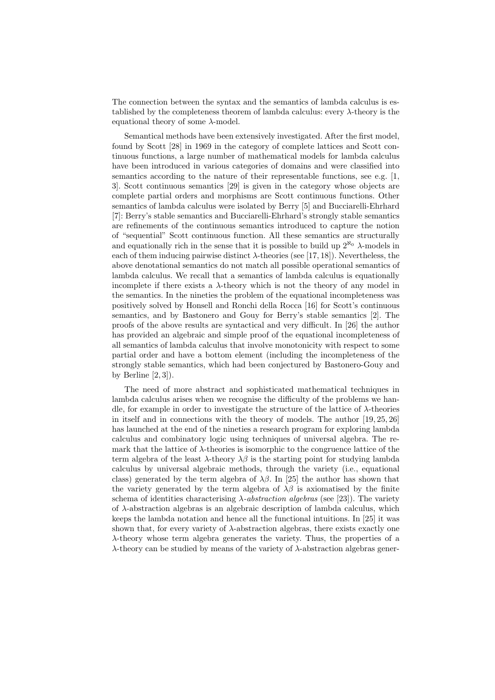The connection between the syntax and the semantics of lambda calculus is established by the completeness theorem of lambda calculus: every  $\lambda$ -theory is the equational theory of some  $\lambda$ -model.

Semantical methods have been extensively investigated. After the first model, found by Scott [28] in 1969 in the category of complete lattices and Scott continuous functions, a large number of mathematical models for lambda calculus have been introduced in various categories of domains and were classified into semantics according to the nature of their representable functions, see e.g. [1, 3]. Scott continuous semantics [29] is given in the category whose objects are complete partial orders and morphisms are Scott continuous functions. Other semantics of lambda calculus were isolated by Berry [5] and Bucciarelli-Ehrhard [7]: Berry's stable semantics and Bucciarelli-Ehrhard's strongly stable semantics are refinements of the continuous semantics introduced to capture the notion of "sequential" Scott continuous function. All these semantics are structurally and equationally rich in the sense that it is possible to build up  $2^{\aleph_0}$   $\lambda$ -models in each of them inducing pairwise distinct  $\lambda$ -theories (see [17, 18]). Nevertheless, the above denotational semantics do not match all possible operational semantics of lambda calculus. We recall that a semantics of lambda calculus is equationally incomplete if there exists a  $\lambda$ -theory which is not the theory of any model in the semantics. In the nineties the problem of the equational incompleteness was positively solved by Honsell and Ronchi della Rocca [16] for Scott's continuous semantics, and by Bastonero and Gouy for Berry's stable semantics [2]. The proofs of the above results are syntactical and very difficult. In [26] the author has provided an algebraic and simple proof of the equational incompleteness of all semantics of lambda calculus that involve monotonicity with respect to some partial order and have a bottom element (including the incompleteness of the strongly stable semantics, which had been conjectured by Bastonero-Gouy and by Berline  $[2, 3]$ .

The need of more abstract and sophisticated mathematical techniques in lambda calculus arises when we recognise the difficulty of the problems we handle, for example in order to investigate the structure of the lattice of  $\lambda$ -theories in itself and in connections with the theory of models. The author [19, 25, 26] has launched at the end of the nineties a research program for exploring lambda calculus and combinatory logic using techniques of universal algebra. The remark that the lattice of  $\lambda$ -theories is isomorphic to the congruence lattice of the term algebra of the least  $\lambda$ -theory  $\lambda\beta$  is the starting point for studying lambda calculus by universal algebraic methods, through the variety (i.e., equational class) generated by the term algebra of  $\lambda\beta$ . In [25] the author has shown that the variety generated by the term algebra of  $\lambda\beta$  is axiomatised by the finite schema of identities characterising  $\lambda$ -abstraction algebras (see [23]). The variety of  $\lambda$ -abstraction algebras is an algebraic description of lambda calculus, which keeps the lambda notation and hence all the functional intuitions. In [25] it was shown that, for every variety of  $\lambda$ -abstraction algebras, there exists exactly one λ-theory whose term algebra generates the variety. Thus, the properties of a  $\lambda$ -theory can be studied by means of the variety of  $\lambda$ -abstraction algebras gener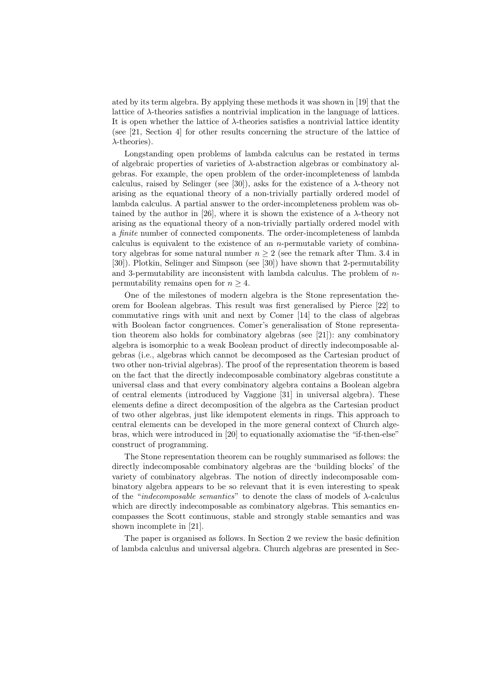ated by its term algebra. By applying these methods it was shown in [19] that the lattice of λ-theories satisfies a nontrivial implication in the language of lattices. It is open whether the lattice of  $\lambda$ -theories satisfies a nontrivial lattice identity (see [21, Section 4] for other results concerning the structure of the lattice of  $\lambda$ -theories).

Longstanding open problems of lambda calculus can be restated in terms of algebraic properties of varieties of  $\lambda$ -abstraction algebras or combinatory algebras. For example, the open problem of the order-incompleteness of lambda calculus, raised by Selinger (see [30]), asks for the existence of a  $\lambda$ -theory not arising as the equational theory of a non-trivially partially ordered model of lambda calculus. A partial answer to the order-incompleteness problem was obtained by the author in [26], where it is shown the existence of a  $\lambda$ -theory not arising as the equational theory of a non-trivially partially ordered model with a finite number of connected components. The order-incompleteness of lambda calculus is equivalent to the existence of an  $n$ -permutable variety of combinatory algebras for some natural number  $n \geq 2$  (see the remark after Thm. 3.4 in [30]). Plotkin, Selinger and Simpson (see [30]) have shown that 2-permutability and 3-permutability are inconsistent with lambda calculus. The problem of npermutability remains open for  $n \geq 4$ .

One of the milestones of modern algebra is the Stone representation theorem for Boolean algebras. This result was first generalised by Pierce [22] to commutative rings with unit and next by Comer [14] to the class of algebras with Boolean factor congruences. Comer's generalisation of Stone representation theorem also holds for combinatory algebras (see [21]): any combinatory algebra is isomorphic to a weak Boolean product of directly indecomposable algebras (i.e., algebras which cannot be decomposed as the Cartesian product of two other non-trivial algebras). The proof of the representation theorem is based on the fact that the directly indecomposable combinatory algebras constitute a universal class and that every combinatory algebra contains a Boolean algebra of central elements (introduced by Vaggione [31] in universal algebra). These elements define a direct decomposition of the algebra as the Cartesian product of two other algebras, just like idempotent elements in rings. This approach to central elements can be developed in the more general context of Church algebras, which were introduced in [20] to equationally axiomatise the "if-then-else" construct of programming.

The Stone representation theorem can be roughly summarised as follows: the directly indecomposable combinatory algebras are the 'building blocks' of the variety of combinatory algebras. The notion of directly indecomposable combinatory algebra appears to be so relevant that it is even interesting to speak of the "indecomposable semantics" to denote the class of models of  $\lambda$ -calculus which are directly indecomposable as combinatory algebras. This semantics encompasses the Scott continuous, stable and strongly stable semantics and was shown incomplete in [21].

The paper is organised as follows. In Section 2 we review the basic definition of lambda calculus and universal algebra. Church algebras are presented in Sec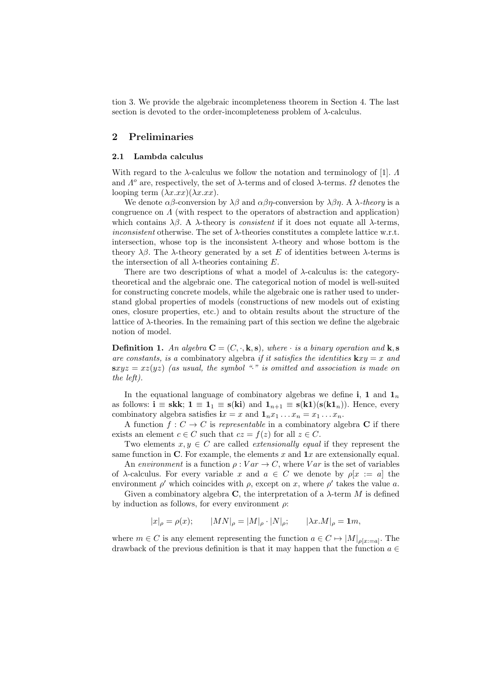tion 3. We provide the algebraic incompleteness theorem in Section 4. The last section is devoted to the order-incompleteness problem of  $\lambda$ -calculus.

## 2 Preliminaries

### 2.1 Lambda calculus

With regard to the  $\lambda$ -calculus we follow the notation and terminology of [1].  $\Lambda$ and  $\Lambda^o$  are, respectively, the set of  $\lambda$ -terms and of closed  $\lambda$ -terms.  $\Omega$  denotes the looping term  $(\lambda x.xx)(\lambda x.xx)$ .

We denote  $\alpha\beta$ -conversion by  $\lambda\beta$  and  $\alpha\beta\eta$ -conversion by  $\lambda\beta\eta$ . A  $\lambda$ -theory is a congruence on  $\Lambda$  (with respect to the operators of abstraction and application) which contains  $\lambda\beta$ . A  $\lambda$ -theory is *consistent* if it does not equate all  $\lambda$ -terms, *inconsistent* otherwise. The set of  $\lambda$ -theories constitutes a complete lattice w.r.t. intersection, whose top is the inconsistent  $\lambda$ -theory and whose bottom is the theory  $\lambda\beta$ . The  $\lambda$ -theory generated by a set E of identities between  $\lambda$ -terms is the intersection of all  $\lambda$ -theories containing E.

There are two descriptions of what a model of λ-calculus is: the categorytheoretical and the algebraic one. The categorical notion of model is well-suited for constructing concrete models, while the algebraic one is rather used to understand global properties of models (constructions of new models out of existing ones, closure properties, etc.) and to obtain results about the structure of the lattice of λ-theories. In the remaining part of this section we define the algebraic notion of model.

**Definition 1.** An algebra  $\mathbf{C} = (C, \cdot, \mathbf{k}, \mathbf{s})$ , where  $\cdot$  is a binary operation and  $\mathbf{k}, \mathbf{s}$ are constants, is a combinatory algebra if it satisfies the identities  $kxy = x$  and  $sxyz = xz(yz)$  (as usual, the symbol "·" is omitted and association is made on the left).

In the equational language of combinatory algebras we define i, 1 and  $1_n$ as follows:  $\mathbf{i} \equiv \mathbf{skk}$ ;  $\mathbf{1} \equiv \mathbf{1}_1 \equiv \mathbf{s}(\mathbf{ki})$  and  $\mathbf{1}_{n+1} \equiv \mathbf{s}(\mathbf{kl})(\mathbf{s}(\mathbf{k1}_n))$ . Hence, every combinatory algebra satisfies  $\mathbf{i}x = x$  and  $\mathbf{1}_n x_1 \dots x_n = x_1 \dots x_n$ .

A function  $f: C \to C$  is representable in a combinatory algebra C if there exists an element  $c \in C$  such that  $cz = f(z)$  for all  $z \in C$ .

Two elements  $x, y \in C$  are called *extensionally equal* if they represent the same function in  $\bf{C}$ . For example, the elements x and  $\bf{1}x$  are extensionally equal.

An environment is a function  $\rho: Var \to C$ , where Var is the set of variables of  $\lambda$ -calculus. For every variable x and  $a \in C$  we denote by  $\rho[x := a]$  the environment  $\rho'$  which coincides with  $\rho$ , except on x, where  $\rho'$  takes the value a.

Given a combinatory algebra C, the interpretation of a  $\lambda$ -term M is defined by induction as follows, for every environment  $\rho$ :

$$
|x|_{\rho} = \rho(x); \qquad |MN|_{\rho} = |M|_{\rho} \cdot |N|_{\rho}; \qquad |\lambda x.M|_{\rho} = \mathbf{1}m,
$$

where  $m \in C$  is any element representing the function  $a \in C \mapsto |M|_{\rho[x:=a]}$ . The drawback of the previous definition is that it may happen that the function  $a \in$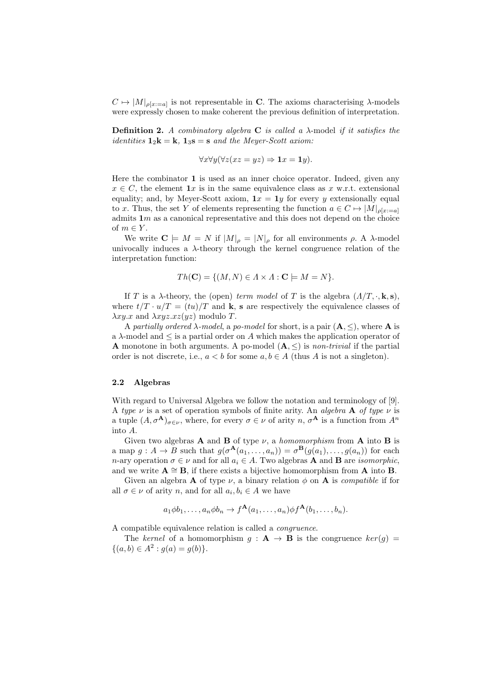$C \mapsto |M|_{\rho[x:=a]}$  is not representable in **C**. The axioms characterising  $\lambda$ -models were expressly chosen to make coherent the previous definition of interpretation.

**Definition 2.** A combinatory algebra  $C$  is called a  $\lambda$ -model if it satisfies the *identities*  $1_2\mathbf{k} = \mathbf{k}$ ,  $1_3\mathbf{s} = \mathbf{s}$  and the Meyer-Scott axiom:

$$
\forall x \forall y (\forall z (xz = yz) \Rightarrow \mathbf{1}x = \mathbf{1}y).
$$

Here the combinator 1 is used as an inner choice operator. Indeed, given any  $x \in C$ , the element  $x$  is in the same equivalence class as x w.r.t. extensional equality; and, by Meyer-Scott axiom,  $1x = 1y$  for every y extensionally equal to x. Thus, the set Y of elements representing the function  $a \in C \mapsto |M|_{\rho[x:=a]}$ admits  $1m$  as a canonical representative and this does not depend on the choice of  $m \in Y$ .

We write  $\mathbf{C} \models M = N$  if  $|M|_{\rho} = |N|_{\rho}$  for all environments  $\rho$ . A  $\lambda$ -model univocally induces a  $\lambda$ -theory through the kernel congruence relation of the interpretation function:

$$
Th(\mathbf{C}) = \{ (M, N) \in A \times A : \mathbf{C} \models M = N \}.
$$

If T is a  $\lambda$ -theory, the (open) term model of T is the algebra  $(\Lambda/T, \cdot, \mathbf{k}, \mathbf{s})$ , where  $t/T \cdot u/T = (tu)/T$  and k, s are respectively the equivalence classes of  $\lambda xy.x$  and  $\lambda xyz.xz(yz)$  modulo T.

A partially ordered  $\lambda$ -model, a po-model for short, is a pair  $(A, \le)$ , where A is a  $\lambda$ -model and  $\leq$  is a partial order on A which makes the application operator of **A** monotone in both arguments. A po-model  $(A, \leq)$  is non-trivial if the partial order is not discrete, i.e.,  $a < b$  for some  $a, b \in A$  (thus A is not a singleton).

### 2.2 Algebras

With regard to Universal Algebra we follow the notation and terminology of [9]. A type  $\nu$  is a set of operation symbols of finite arity. An algebra **A** of type  $\nu$  is a tuple  $(A, \sigma^{\mathbf{A}})_{\sigma \in \nu}$ , where, for every  $\sigma \in \nu$  of arity  $n, \sigma^{\mathbf{A}}$  is a function from  $A^n$ into A.

Given two algebras **A** and **B** of type  $\nu$ , a homomorphism from **A** into **B** is a map  $g: A \to B$  such that  $g(\sigma^{\mathbf{A}}(a_1, \ldots, a_n)) = \sigma^{\mathbf{B}}(g(a_1), \ldots, g(a_n))$  for each n-ary operation  $\sigma \in \nu$  and for all  $a_i \in A$ . Two algebras **A** and **B** are *isomorphic*, and we write  $A \cong B$ , if there exists a bijective homomorphism from A into B.

Given an algebra **A** of type  $\nu$ , a binary relation  $\phi$  on **A** is *compatible* if for all  $\sigma \in \nu$  of arity n, and for all  $a_i, b_i \in A$  we have

$$
a_1 \phi b_1, \ldots, a_n \phi b_n \to f^{\mathbf{A}}(a_1, \ldots, a_n) \phi f^{\mathbf{A}}(b_1, \ldots, b_n).
$$

A compatible equivalence relation is called a congruence.

The kernel of a homomorphism  $q : A \rightarrow B$  is the congruence  $ker(q) =$  $\{(a, b) \in A^2 : g(a) = g(b)\}.$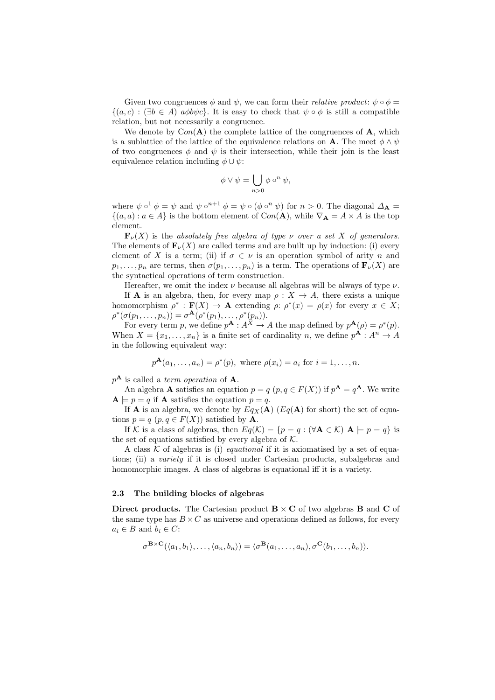Given two congruences  $\phi$  and  $\psi$ , we can form their *relative product:*  $\psi \circ \phi =$  $\{(a, c) : (\exists b \in A) \ a\phi b\psi c\}.$  It is easy to check that  $\psi \circ \phi$  is still a compatible relation, but not necessarily a congruence.

We denote by  $Con(\mathbf{A})$  the complete lattice of the congruences of  $\mathbf{A}$ , which is a sublattice of the lattice of the equivalence relations on **A**. The meet  $\phi \wedge \psi$ of two congruences  $\phi$  and  $\psi$  is their intersection, while their join is the least equivalence relation including  $\phi \cup \psi$ :

$$
\phi \vee \psi = \bigcup_{n>0} \phi \circ^n \psi,
$$

where  $\psi \circ^1 \phi = \psi$  and  $\psi \circ^{n+1} \phi = \psi \circ (\phi \circ^n \psi)$  for  $n > 0$ . The diagonal  $\Delta_{\mathbf{A}} =$  $\{(a, a) : a \in A\}$  is the bottom element of  $Con(\mathbf{A})$ , while  $\nabla_{\mathbf{A}} = A \times A$  is the top element.

 $\mathbf{F}_{\nu}(X)$  is the absolutely free algebra of type  $\nu$  over a set X of generators. The elements of  $\mathbf{F}_{\nu}(X)$  are called terms and are built up by induction: (i) every element of X is a term; (ii) if  $\sigma \in \nu$  is an operation symbol of arity n and  $p_1, \ldots, p_n$  are terms, then  $\sigma(p_1, \ldots, p_n)$  is a term. The operations of  $\mathbf{F}_{\nu}(X)$  are the syntactical operations of term construction.

Hereafter, we omit the index  $\nu$  because all algebras will be always of type  $\nu$ .

If **A** is an algebra, then, for every map  $\rho : X \to A$ , there exists a unique homomorphism  $\rho^* : \mathbf{F}(X) \to \mathbf{A}$  extending  $\rho: \rho^*(x) = \rho(x)$  for every  $x \in X$ ;  $\rho^*(\sigma(p_1,\ldots,p_n)) = \sigma^{\mathbf{A}}(\rho^*(p_1),\ldots,\rho^*(p_n)).$ 

For every term p, we define  $p^{\mathbf{A}}: A^X \to A$  the map defined by  $p^{\mathbf{A}}(\rho) = \rho^*(p)$ . When  $X = \{x_1, \ldots, x_n\}$  is a finite set of cardinality n, we define  $p^{\mathbf{A}} : A^n \to A$ in the following equivalent way:

$$
p^{\mathbf{A}}(a_1,..., a_n) = \rho^*(p)
$$
, where  $\rho(x_i) = a_i$  for  $i = 1,..., n$ .

 $p^{\mathbf{A}}$  is called a *term operation* of **A**.

An algebra **A** satisfies an equation  $p = q$   $(p, q \in F(X))$  if  $p^A = q^A$ . We write  $A \models p = q$  if A satisfies the equation  $p = q$ .

If **A** is an algebra, we denote by  $Eq_{X}(A)$  ( $Eq(A)$  for short) the set of equations  $p = q$   $(p, q \in F(X))$  satisfied by **A**.

If K is a class of algebras, then  $Eq(\mathcal{K}) = \{p = q : (\forall \mathbf{A} \in \mathcal{K}) \mid \mathbf{A} \models p = q\}$  is the set of equations satisfied by every algebra of  $K$ .

A class  $K$  of algebras is (i) *equational* if it is axiomatised by a set of equations; (ii) a variety if it is closed under Cartesian products, subalgebras and homomorphic images. A class of algebras is equational iff it is a variety.

#### 2.3 The building blocks of algebras

Direct products. The Cartesian product  $B \times C$  of two algebras B and C of the same type has  $B \times C$  as universe and operations defined as follows, for every  $a_i \in B$  and  $b_i \in C$ :

$$
\sigma^{\mathbf{B}\times\mathbf{C}}(\langle a_1,b_1\rangle,\ldots,\langle a_n,b_n\rangle)=\langle \sigma^{\mathbf{B}}(a_1,\ldots,a_n),\sigma^{\mathbf{C}}(b_1,\ldots,b_n)\rangle.
$$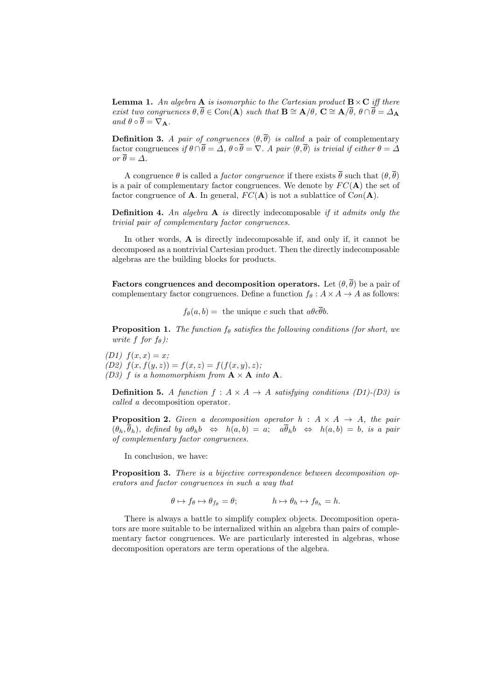**Lemma 1.** An algebra **A** is isomorphic to the Cartesian product  $\mathbf{B} \times \mathbf{C}$  iff there exist two congruences  $\theta, \overline{\theta} \in \text{Con}(\mathbf{A})$  such that  $\mathbf{B} \cong \mathbf{A}/\theta$ ,  $\mathbf{C} \cong \mathbf{A}/\overline{\theta}$ ,  $\theta \cap \overline{\theta} = \Delta_{\mathbf{A}}$ and  $\theta \circ \overline{\theta} = \nabla_{\mathbf{A}}$ .

**Definition 3.** A pair of congruences  $\langle \theta, \overline{\theta} \rangle$  is called a pair of complementary factor congruences if  $\theta \cap \overline{\theta} = \Delta$ ,  $\theta \circ \overline{\theta} = \nabla$ . A pair  $\langle \theta, \overline{\theta} \rangle$  is trivial if either  $\theta = \Delta$ or  $\overline{\theta} = \Delta$ .

A congruence  $\theta$  is called a *factor congruence* if there exists  $\overline{\theta}$  such that  $(\theta, \overline{\theta})$ is a pair of complementary factor congruences. We denote by  $FC(A)$  the set of factor congruence of **A**. In general,  $FC(A)$  is not a sublattice of  $Con(A)$ .

**Definition 4.** An algebra  $A$  is directly indecomposable if it admits only the trivial pair of complementary factor congruences.

In other words, **A** is directly indecomposable if, and only if, it cannot be decomposed as a nontrivial Cartesian product. Then the directly indecomposable algebras are the building blocks for products.

Factors congruences and decomposition operators. Let  $(\theta, \overline{\theta})$  be a pair of complementary factor congruences. Define a function  $f_{\theta}: A \times A \rightarrow A$  as follows:

 $f_{\theta}(a, b) =$  the unique c such that  $a\theta c\overline{\theta}b$ .

**Proposition 1.** The function  $f_{\theta}$  satisfies the following conditions (for short, we write f for  $f_{\theta}$ ):

(D1)  $f(x, x) = x;$ (D2)  $f(x, f(y, z)) = f(x, z) = f(f(x, y), z);$ (D3) f is a homomorphism from  $\mathbf{A} \times \mathbf{A}$  into  $\mathbf{A}$ .

**Definition 5.** A function  $f : A \times A \rightarrow A$  satisfying conditions (D1)-(D3) is called a decomposition operator.

**Proposition 2.** Given a decomposition operator  $h : A \times A \rightarrow A$ , the pair  $(\theta_h, \overline{\theta}_h)$ , defined by  $a\theta_h b \Leftrightarrow h(a, b) = a$ ;  $a\overline{\theta}_h b \Leftrightarrow h(a, b) = b$ , is a pair of complementary factor congruences.

In conclusion, we have:

Proposition 3. There is a bijective correspondence between decomposition operators and factor congruences in such a way that

$$
\theta \mapsto f_{\theta} \mapsto \theta_{f_{\theta}} = \theta; \qquad h \mapsto \theta_h \mapsto f_{\theta_h} = h.
$$

There is always a battle to simplify complex objects. Decomposition operators are more suitable to be internalized within an algebra than pairs of complementary factor congruences. We are particularly interested in algebras, whose decomposition operators are term operations of the algebra.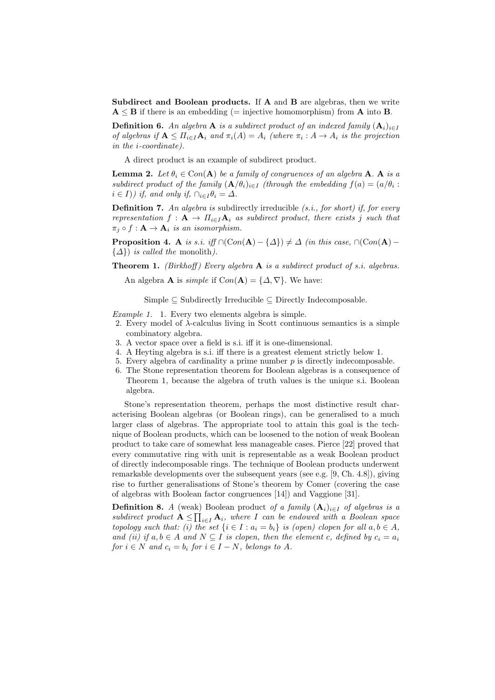Subdirect and Boolean products. If A and B are algebras, then we write  $\mathbf{A} \leq \mathbf{B}$  if there is an embedding (= injective homomorphism) from  $\mathbf{A}$  into  $\mathbf{B}$ .

**Definition 6.** An algebra **A** is a subdirect product of an indexed family  $(A_i)_{i\in I}$ of algebras if  $\mathbf{A} \leq \prod_{i \in I} \mathbf{A}_i$  and  $\pi_i(A) = A_i$  (where  $\pi_i : A \to A_i$  is the projection in the i-coordinate).

A direct product is an example of subdirect product.

**Lemma 2.** Let  $\theta_i \in Con(\mathbf{A})$  be a family of congruences of an algebra **A**. **A** is a subdirect product of the family  $(\mathbf{A}/\theta_i)_{i\in I}$  (through the embedding  $f(a) = (a/\theta_i)$ :  $i \in I$ )) if, and only if,  $\bigcap_{i \in I} \theta_i = \Delta$ .

**Definition 7.** An algebra is subdirectly irreducible  $(s.i., for short)$  if, for every representation  $f : A \to \Pi_{i \in I} A_i$  as subdirect product, there exists j such that  $\pi_i \circ f : A \to A_i$  is an isomorphism.

**Proposition 4.** A is s.i. iff  $\cap$ (Con(A) – { $\Delta$ })  $\neq$   $\Delta$  (in this case,  $\cap$ (Con(A) –  $\{\Delta\}$ ) is called the monolith).

**Theorem 1.** (Birkhoff) Every algebra  $A$  is a subdirect product of s.i. algebras.

An algebra **A** is *simple* if  $Con(A) = \{ \Delta, \nabla \}$ . We have:

Simple  $\subseteq$  Subdirectly Irreducible  $\subseteq$  Directly Indecomposable.

Example 1. 1. Every two elements algebra is simple.

- 2. Every model of  $\lambda$ -calculus living in Scott continuous semantics is a simple combinatory algebra.
- 3. A vector space over a field is s.i. iff it is one-dimensional.
- 4. A Heyting algebra is s.i. iff there is a greatest element strictly below 1.
- 5. Every algebra of cardinality a prime number  $p$  is directly indecomposable.
- 6. The Stone representation theorem for Boolean algebras is a consequence of Theorem 1, because the algebra of truth values is the unique s.i. Boolean algebra.

Stone's representation theorem, perhaps the most distinctive result characterising Boolean algebras (or Boolean rings), can be generalised to a much larger class of algebras. The appropriate tool to attain this goal is the technique of Boolean products, which can be loosened to the notion of weak Boolean product to take care of somewhat less manageable cases. Pierce [22] proved that every commutative ring with unit is representable as a weak Boolean product of directly indecomposable rings. The technique of Boolean products underwent remarkable developments over the subsequent years (see e.g. [9, Ch. 4.8]), giving rise to further generalisations of Stone's theorem by Comer (covering the case of algebras with Boolean factor congruences [14]) and Vaggione [31].

**Definition 8.** A (weak) Boolean product of a family  $(A_i)_{i\in I}$  of algebras is a subdirect product  $A \leq \prod_{i \in I} A_i$ , where I can be endowed with a Boolean space topology such that: (i) the set  $\{i \in I : a_i = b_i\}$  is (open) clopen for all  $a, b \in A$ , and (ii) if  $a, b \in A$  and  $N \subseteq I$  is clopen, then the element c, defined by  $c_i = a_i$ for  $i \in N$  and  $c_i = b_i$  for  $i \in I - N$ , belongs to A.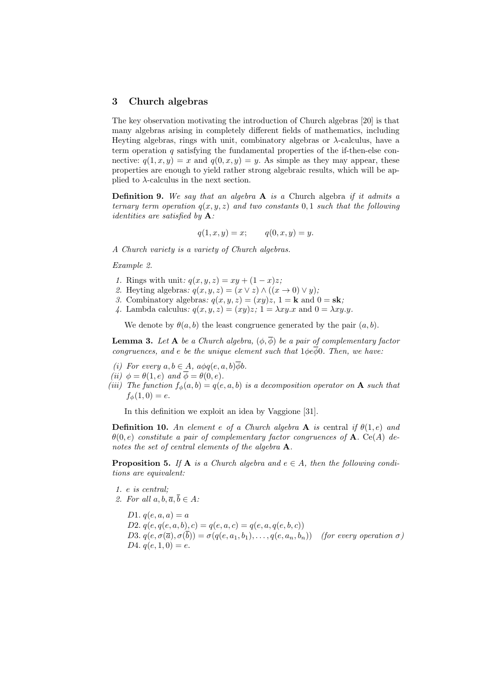### 3 Church algebras

The key observation motivating the introduction of Church algebras [20] is that many algebras arising in completely different fields of mathematics, including Heyting algebras, rings with unit, combinatory algebras or  $\lambda$ -calculus, have a term operation  $q$  satisfying the fundamental properties of the if-then-else connective:  $q(1, x, y) = x$  and  $q(0, x, y) = y$ . As simple as they may appear, these properties are enough to yield rather strong algebraic results, which will be applied to  $\lambda$ -calculus in the next section.

**Definition 9.** We say that an algebra  $A$  is a Church algebra if it admits a ternary term operation  $q(x, y, z)$  and two constants 0,1 such that the following identities are satisfied by A:

$$
q(1, x, y) = x;
$$
  $q(0, x, y) = y.$ 

A Church variety is a variety of Church algebras.

Example 2.

- 1. Rings with unit:  $q(x, y, z) = xy + (1 x)z;$
- 2. Heyting algebras:  $q(x, y, z) = (x \lor z) \land ((x \to 0) \lor y);$
- 3. Combinatory algebras:  $q(x, y, z) = (xy)z$ ,  $1 = \mathbf{k}$  and  $0 = s\mathbf{k}$ ;
- 4. Lambda calculus:  $q(x, y, z) = (xy)z$ ;  $1 = \lambda xy.x$  and  $0 = \lambda xy.y$ .

We denote by  $\theta(a, b)$  the least congruence generated by the pair  $(a, b)$ .

**Lemma 3.** Let A be a Church algebra,  $(\phi, \overline{\phi})$  be a pair of complementary factor congruences, and  $e$  be the unique element such that  $1\phi e\phi 0$ . Then, we have:

- (i) For every  $a, b \in A$ ,  $a\phi q(e, a, b)$  $\overline{\phi}b$ .
- (ii)  $\phi = \theta(1, e)$  and  $\overline{\phi} = \theta(0, e)$ .
- (iii) The function  $f_{\phi}(a, b) = q(e, a, b)$  is a decomposition operator on **A** such that  $f_{\phi}(1,0) = e.$

In this definition we exploit an idea by Vaggione [31].

**Definition 10.** An element e of a Church algebra **A** is central if  $\theta(1,e)$  and  $\theta(0, e)$  constitute a pair of complementary factor congruences of **A**. Ce(A) denotes the set of central elements of the algebra  $\mathbf{A}$ .

**Proposition 5.** If **A** is a Church algebra and  $e \in A$ , then the following conditions are equivalent:

1. e is central; 2. For all  $a, b, \overline{a}, \overline{b} \in A$ : D1.  $q(e, a, a) = a$ 

D2.  $q(e, q(e, a, b), c) = q(e, a, c) = q(e, a, q(e, b, c))$ D3.  $q(e, \sigma(\overline{a}), \sigma(\overline{b})) = \sigma(q(e, a_1, b_1), \ldots, q(e, a_n, b_n))$  (for every operation  $\sigma$ ) D4.  $q(e, 1, 0) = e$ .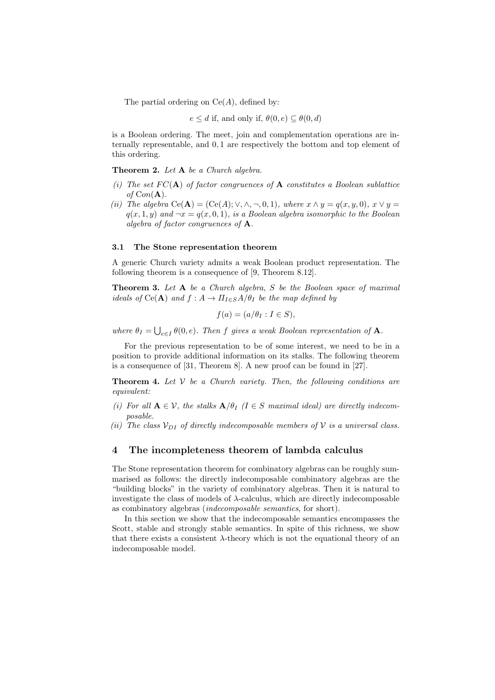The partial ordering on  $Ce(A)$ , defined by:

$$
e \leq d
$$
 if, and only if,  $\theta(0, e) \subseteq \theta(0, d)$ 

is a Boolean ordering. The meet, join and complementation operations are internally representable, and 0, 1 are respectively the bottom and top element of this ordering.

Theorem 2. Let A be a Church algebra.

- (i) The set  $FC(A)$  of factor congruences of A constitutes a Boolean sublattice of  $Con(\mathbf{A})$ .
- (ii) The algebra  $\text{Ce}(\mathbf{A}) = (\text{Ce}(A); \vee, \wedge, \neg, 0, 1)$ , where  $x \wedge y = q(x, y, 0)$ ,  $x \vee y =$  $q(x, 1, y)$  and  $\neg x = q(x, 0, 1)$ , is a Boolean algebra isomorphic to the Boolean algebra of factor congruences of A.

#### 3.1 The Stone representation theorem

A generic Church variety admits a weak Boolean product representation. The following theorem is a consequence of [9, Theorem 8.12].

**Theorem 3.** Let  $A$  be a Church algebra,  $S$  be the Boolean space of maximal ideals of Ce(A) and  $f: A \to \Pi_{I \in S} A/\theta_I$  be the map defined by

$$
f(a) = (a/\theta_I : I \in S),
$$

where  $\theta_I = \bigcup_{e \in I} \theta(0, e)$ . Then f gives a weak Boolean representation of **A**.

For the previous representation to be of some interest, we need to be in a position to provide additional information on its stalks. The following theorem is a consequence of [31, Theorem 8]. A new proof can be found in [27].

**Theorem 4.** Let  $V$  be a Church variety. Then, the following conditions are equivalent:

- (i) For all  $A \in \mathcal{V}$ , the stalks  $A/\theta_I$  ( $I \in S$  maximal ideal) are directly indecomposable.
- (ii) The class  $V_{DI}$  of directly indecomposable members of V is a universal class.

### 4 The incompleteness theorem of lambda calculus

The Stone representation theorem for combinatory algebras can be roughly summarised as follows: the directly indecomposable combinatory algebras are the "building blocks" in the variety of combinatory algebras. Then it is natural to investigate the class of models of  $\lambda$ -calculus, which are directly indecomposable as combinatory algebras (indecomposable semantics, for short).

In this section we show that the indecomposable semantics encompasses the Scott, stable and strongly stable semantics. In spite of this richness, we show that there exists a consistent  $\lambda$ -theory which is not the equational theory of an indecomposable model.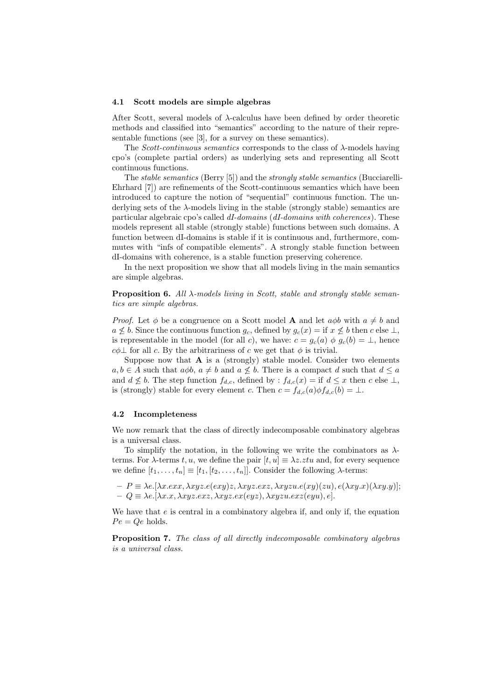#### 4.1 Scott models are simple algebras

After Scott, several models of λ-calculus have been defined by order theoretic methods and classified into "semantics" according to the nature of their representable functions (see [3], for a survey on these semantics).

The Scott-continuous semantics corresponds to the class of  $\lambda$ -models having cpo's (complete partial orders) as underlying sets and representing all Scott continuous functions.

The stable semantics (Berry [5]) and the strongly stable semantics (Bucciarelli-Ehrhard [7]) are refinements of the Scott-continuous semantics which have been introduced to capture the notion of "sequential" continuous function. The underlying sets of the  $\lambda$ -models living in the stable (strongly stable) semantics are particular algebraic cpo's called dI-domains (dI-domains with coherences). These models represent all stable (strongly stable) functions between such domains. A function between dI-domains is stable if it is continuous and, furthermore, commutes with "infs of compatible elements". A strongly stable function between dI-domains with coherence, is a stable function preserving coherence.

In the next proposition we show that all models living in the main semantics are simple algebras.

**Proposition 6.** All  $\lambda$ -models living in Scott, stable and strongly stable semantics are simple algebras.

*Proof.* Let  $\phi$  be a congruence on a Scott model **A** and let  $a\phi b$  with  $a \neq b$  and  $a \nleq b$ . Since the continuous function  $g_c$ , defined by  $g_c(x) = \text{if } x \nleq b$  then c else  $\perp$ , is representable in the model (for all c), we have:  $c = g_c(a) \phi g_c(b) = \bot$ , hence  $c\phi\perp$  for all c. By the arbitrariness of c we get that  $\phi$  is trivial.

Suppose now that  $A$  is a (strongly) stable model. Consider two elements  $a, b \in A$  such that  $a\phi b, a \neq b$  and  $a \not\leq b$ . There is a compact d such that  $d \leq a$ and  $d \nleq b$ . The step function  $f_{d,c}$ , defined by :  $f_{d,c}(x) =$  if  $d \leq x$  then c else  $\perp$ , is (strongly) stable for every element c. Then  $c = f_{d,c}(a)\phi f_{d,c}(b) = \bot$ .

#### 4.2 Incompleteness

We now remark that the class of directly indecomposable combinatory algebras is a universal class.

To simplify the notation, in the following we write the combinators as  $\lambda$ terms. For  $\lambda$ -terms t, u, we define the pair  $[t, u] \equiv \lambda z.ztu$  and, for every sequence we define  $[t_1, \ldots, t_n] \equiv [t_1, [t_2, \ldots, t_n]]$ . Consider the following  $\lambda$ -terms:

 $-P \equiv \lambda e.[\lambda x. exp, \lambda xyz. e(exp)z, \lambda xyz. expz. exp(xy)(zu), e(\lambda xy. x)(\lambda xy. y)];$  $Q \equiv \lambda e.[\lambda x.x, \lambda xyz. exz, \lambda xyz. ex(eyz), \lambda xyzu. exz(eyu), e].$ 

We have that  $e$  is central in a combinatory algebra if, and only if, the equation  $Pe = Qe$  holds.

Proposition 7. The class of all directly indecomposable combinatory algebras is a universal class.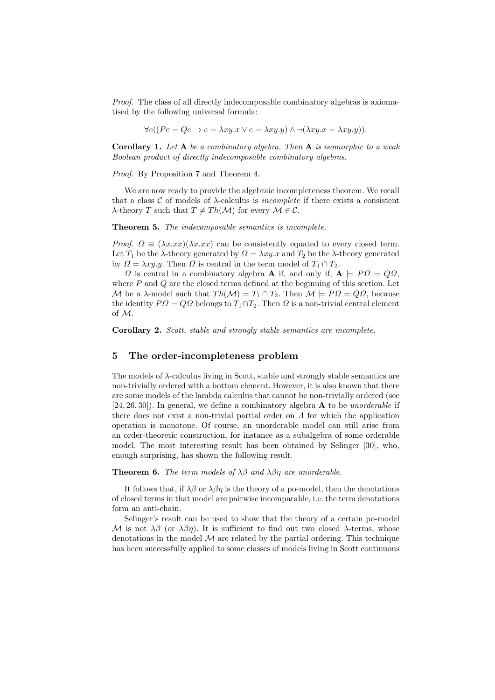Proof. The class of all directly indecomposable combinatory algebras is axiomatised by the following universal formula:

$$
\forall e((Pe = Qe \rightarrow e = \lambda xy.x \lor e = \lambda xy.y) \land \neg (\lambda xy.x = \lambda xy.y)).
$$

**Corollary 1.** Let  $A$  be a combinatory algebra. Then  $A$  is isomorphic to a weak Boolean product of directly indecomposable combinatory algebras.

Proof. By Proposition 7 and Theorem 4.

We are now ready to provide the algebraic incompleteness theorem. We recall that a class C of models of  $\lambda$ -calculus is *incomplete* if there exists a consistent λ-theory T such that  $T \neq Th(\mathcal{M})$  for every  $\mathcal{M} \in \mathcal{C}$ .

Theorem 5. The indecomposable semantics is incomplete.

*Proof.*  $\Omega \equiv (\lambda x . x x)(\lambda x . x x)$  can be consistently equated to every closed term. Let  $T_1$  be the  $\lambda$ -theory generated by  $\Omega = \lambda xy.x$  and  $T_2$  be the  $\lambda$ -theory generated by  $\Omega = \lambda xy.y$ . Then  $\Omega$  is central in the term model of  $T_1 \cap T_2$ .

 $\Omega$  is central in a combinatory algebra **A** if, and only if,  $A \models P\Omega = Q\Omega$ , where  $P$  and  $Q$  are the closed terms defined at the beginning of this section. Let M be a  $\lambda$ -model such that  $Th(\mathcal{M}) = T_1 \cap T_2$ . Then  $\mathcal{M} \models P\Omega = Q\Omega$ , because the identity  $P\Omega = Q\Omega$  belongs to  $T_1 \cap T_2$ . Then  $\Omega$  is a non-trivial central element of M.

Corollary 2. Scott, stable and strongly stable semantics are incomplete.

## 5 The order-incompleteness problem

The models of  $\lambda$ -calculus living in Scott, stable and strongly stable semantics are non-trivially ordered with a bottom element. However, it is also known that there are some models of the lambda calculus that cannot be non-trivially ordered (see  $[24, 26, 30]$ . In general, we define a combinatory algebra **A** to be *unorderable* if there does not exist a non-trivial partial order on  $A$  for which the application operation is monotone. Of course, an unorderable model can still arise from an order-theoretic construction, for instance as a subalgebra of some orderable model. The most interesting result has been obtained by Selinger [30], who, enough surprising, has shown the following result.

**Theorem 6.** The term models of  $\lambda\beta$  and  $\lambda\beta\eta$  are unorderable.

It follows that, if  $\lambda\beta$  or  $\lambda\beta\eta$  is the theory of a po-model, then the denotations of closed terms in that model are pairwise incomparable, i.e. the term denotations form an anti-chain.

Selinger's result can be used to show that the theory of a certain po-model M is not  $\lambda\beta$  (or  $\lambda\beta\eta$ ). It is sufficient to find out two closed  $\lambda$ -terms, whose denotations in the model  $\mathcal M$  are related by the partial ordering. This technique has been successfully applied to some classes of models living in Scott continuous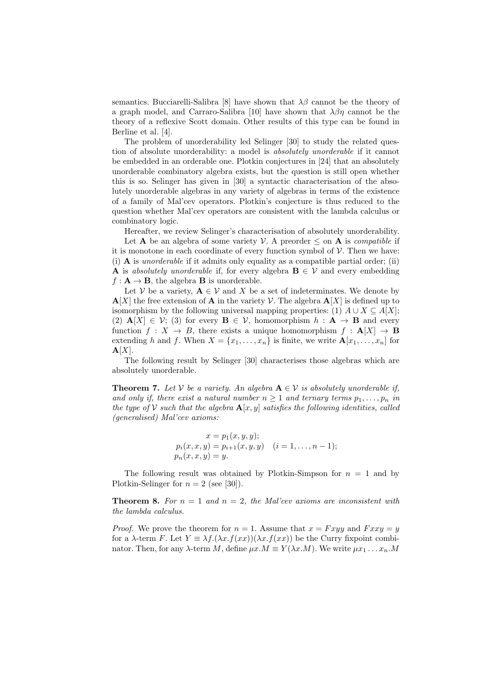semantics. Bucciarelli-Salibra [8] have shown that  $\lambda\beta$  cannot be the theory of a graph model, and Carraro-Salibra [10] have shown that  $\lambda\beta\eta$  cannot be the theory of a reflexive Scott domain. Other results of this type can be found in Berline et al. [4].

The problem of unorderability led Selinger [30] to study the related question of absolute unorderability: a model is absolutely unorderable if it cannot be embedded in an orderable one. Plotkin conjectures in [24] that an absolutely unorderable combinatory algebra exists, but the question is still open whether this is so. Selinger has given in [30] a syntactic characterisation of the absolutely unorderable algebras in any variety of algebras in terms of the existence of a family of Mal'cev operators. Plotkin's conjecture is thus reduced to the question whether Mal'cev operators are consistent with the lambda calculus or combinatory logic.

Hereafter, we review Selinger's characterisation of absolutely unorderability.

Let **A** be an algebra of some variety V. A preorder  $\leq$  on **A** is *compatible* if it is monotone in each coordinate of every function symbol of  $V$ . Then we have: (i)  $\bf{A}$  is *unorderable* if it admits only equality as a compatible partial order; (ii) **A** is absolutely unorderable if, for every algebra  $\mathbf{B} \in \mathcal{V}$  and every embedding  $f: \mathbf{A} \to \mathbf{B}$ , the algebra **B** is unorderable.

Let V be a variety,  $A \in V$  and X be a set of indeterminates. We denote by  ${\bf A}[X]$  the free extension of  ${\bf A}$  in the variety V. The algebra  ${\bf A}[X]$  is defined up to isomorphism by the following universal mapping properties: (1)  $A \cup X \subseteq A[X]$ ; (2)  $\mathbf{A}[X] \in \mathcal{V}$ ; (3) for every  $\mathbf{B} \in \mathcal{V}$ , homomorphism  $h : \mathbf{A} \to \mathbf{B}$  and every function  $f: X \to B$ , there exists a unique homomorphism  $f: A[X] \to B$ extending h and f. When  $X = \{x_1, \ldots, x_n\}$  is finite, we write  $\mathbf{A}[x_1, \ldots, x_n]$  for  $\mathbf{A}[X].$ 

The following result by Selinger [30] characterises those algebras which are absolutely unorderable.

**Theorem 7.** Let V be a variety. An algebra  $A \in V$  is absolutely unorderable if, and only if, there exist a natural number  $n \geq 1$  and ternary terms  $p_1, \ldots, p_n$  in the type of V such that the algebra  $\mathbf{A}[x, y]$  satisfies the following identities, called (generalised) Mal'cev axioms:

$$
x = p_1(x, y, y);
$$
  
\n
$$
p_i(x, x, y) = p_{i+1}(x, y, y) \quad (i = 1, ..., n-1);
$$
  
\n
$$
p_n(x, x, y) = y.
$$

The following result was obtained by Plotkin-Simpson for  $n = 1$  and by Plotkin-Selinger for  $n = 2$  (see [30]).

**Theorem 8.** For  $n = 1$  and  $n = 2$ , the Mal'cev axioms are inconsistent with the lambda calculus.

*Proof.* We prove the theorem for  $n = 1$ . Assume that  $x = Fxyy$  and  $Fxxy = y$ for a  $\lambda$ -term F. Let  $Y \equiv \lambda f.(\lambda x.f(xx))(\lambda x.f(xx))$  be the Curry fixpoint combinator. Then, for any  $\lambda$ -term M, define  $\mu x.M \equiv Y(\lambda x.M)$ . We write  $\mu x_1 \ldots x_n.M$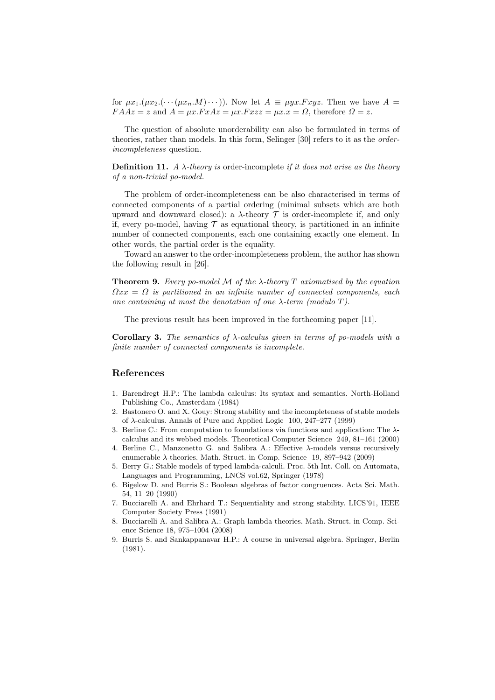for  $\mu x_1.(\mu x_2.(\cdots (\mu x_n.M)\cdots))$ . Now let  $A \equiv \mu yx.Fxyz$ . Then we have  $A =$  $FAAz = z$  and  $A = \mu x.FxAz = \mu x.Fxzz = \mu x.x = \Omega$ , therefore  $\Omega = z$ .

The question of absolute unorderability can also be formulated in terms of theories, rather than models. In this form, Selinger [30] refers to it as the orderincompleteness question.

**Definition 11.** A  $\lambda$ -theory is order-incomplete if it does not arise as the theory of a non-trivial po-model.

The problem of order-incompleteness can be also characterised in terms of connected components of a partial ordering (minimal subsets which are both upward and downward closed): a  $\lambda$ -theory  $\mathcal T$  is order-incomplete if, and only if, every po-model, having  $\mathcal T$  as equational theory, is partitioned in an infinite number of connected components, each one containing exactly one element. In other words, the partial order is the equality.

Toward an answer to the order-incompleteness problem, the author has shown the following result in [26].

**Theorem 9.** Every po-model M of the  $\lambda$ -theory T axiomatised by the equation  $\Omega xx = \Omega$  is partitioned in an infinite number of connected components, each one containing at most the denotation of one  $\lambda$ -term (modulo T).

The previous result has been improved in the forthcoming paper [11].

Corollary 3. The semantics of  $\lambda$ -calculus given in terms of po-models with a finite number of connected components is incomplete.

## References

- 1. Barendregt H.P.: The lambda calculus: Its syntax and semantics. North-Holland Publishing Co., Amsterdam (1984)
- 2. Bastonero O. and X. Gouy: Strong stability and the incompleteness of stable models of  $\lambda$ -calculus. Annals of Pure and Applied Logic 100, 247–277 (1999)
- 3. Berline C.: From computation to foundations via functions and application: The  $\lambda$ calculus and its webbed models. Theoretical Computer Science 249, 81–161 (2000)
- 4. Berline C., Manzonetto G. and Salibra A.: Effective  $\lambda$ -models versus recursively enumerable  $\lambda$ -theories. Math. Struct. in Comp. Science 19, 897–942 (2009)
- 5. Berry G.: Stable models of typed lambda-calculi. Proc. 5th Int. Coll. on Automata, Languages and Programming, LNCS vol.62, Springer (1978)
- 6. Bigelow D. and Burris S.: Boolean algebras of factor congruences. Acta Sci. Math. 54, 11–20 (1990)
- 7. Bucciarelli A. and Ehrhard T.: Sequentiality and strong stability. LICS'91, IEEE Computer Society Press (1991)
- 8. Bucciarelli A. and Salibra A.: Graph lambda theories. Math. Struct. in Comp. Science Science 18, 975–1004 (2008)
- 9. Burris S. and Sankappanavar H.P.: A course in universal algebra. Springer, Berlin (1981).